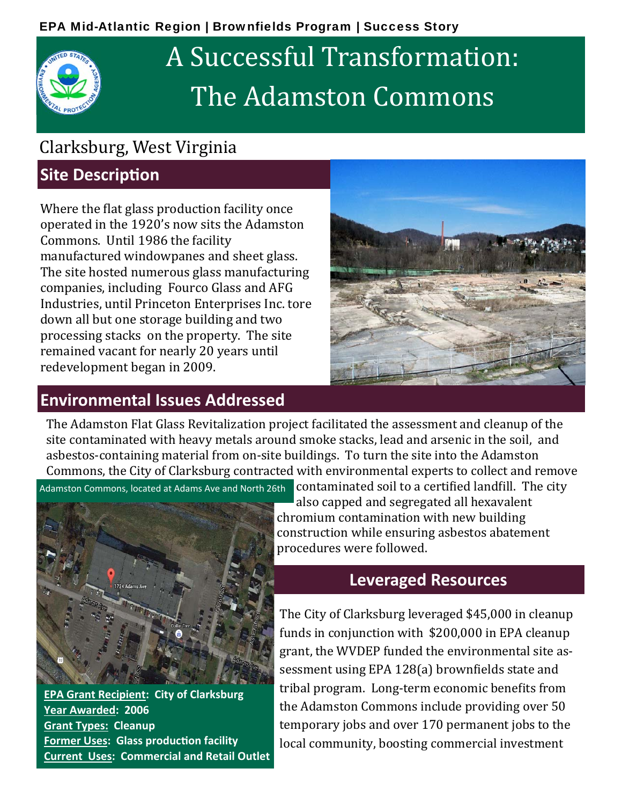# A Successful Transformation: The Adamston Commons

## Clarksburg, West Virginia

### **Site Description**

Where the flat glass production facility once operated in the 1920's now sits the Adamston Commons. Until 1986 the facility manufactured windowpanes and sheet glass. The site hosted numerous glass manufacturing companies, including Fourco Glass and AFG Industries, until Princeton Enterprises Inc. tore down all but one storage building and two processing stacks on the property. The site remained vacant for nearly 20 years until redevelopment began in 2009.

#### **Environmental Issues Addressed**



The Adamston Flat Glass Revitalization project facilitated the assessment and cleanup of the site contaminated with heavy metals around smoke stacks, lead and arsenic in the soil, and asbestos-containing material from on-site buildings. To turn the site into the Adamston Commons, the City of Clarksburg contracted with environmental experts to collect and remove



**EPA Grant Recipient: City of Clarksburg Year Awarded: 2006 Grant Types: Cleanup Former Uses: Glass production facility Current Uses: Commercial and Retail Outlet**

Adamston Commons, located at Adams Ave and North 26th **COntaminated soil to a certified landfill. The city** also capped and segregated all hexavalent chromium contamination with new building construction while ensuring asbestos abatement procedures were followed.

#### **Leveraged Resources**

The City of Clarksburg leveraged \$45,000 in cleanup funds in conjunction with  $$200,000$  in EPA cleanup grant, the WVDEP funded the environmental site assessment using EPA 128(a) brownfields state and tribal program. Long-term economic benefits from the Adamston Commons include providing over 50 temporary jobs and over 170 permanent jobs to the local community, boosting commercial investment